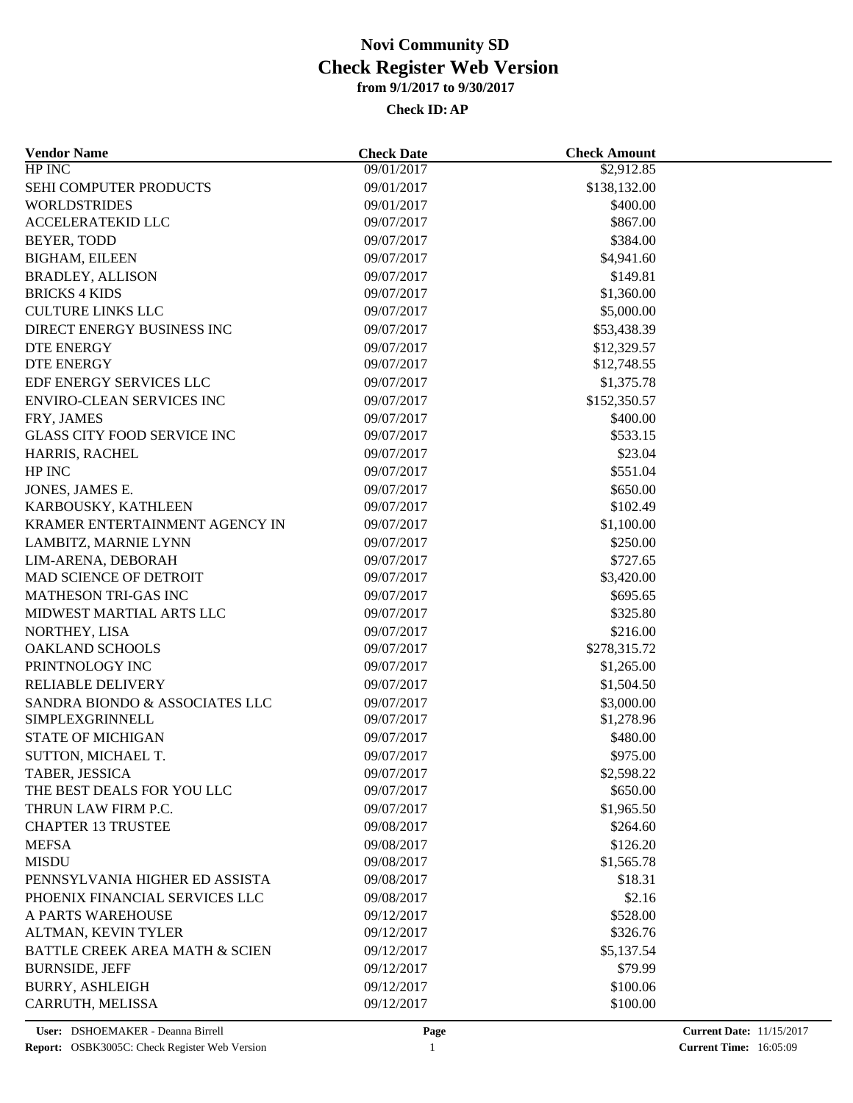| $HP$ INC<br>09/01/2017<br>\$2,912.85<br>SEHI COMPUTER PRODUCTS<br>09/01/2017<br>\$138,132.00<br><b>WORLDSTRIDES</b><br>09/01/2017<br>\$400.00<br>ACCELERATEKID LLC<br>\$867.00<br>09/07/2017<br>BEYER, TODD<br>09/07/2017<br>\$384.00<br><b>BIGHAM, EILEEN</b><br>09/07/2017<br>\$4,941.60<br>09/07/2017<br>\$149.81<br><b>BRADLEY, ALLISON</b><br><b>BRICKS 4 KIDS</b><br>09/07/2017<br>\$1,360.00<br><b>CULTURE LINKS LLC</b><br>\$5,000.00<br>09/07/2017<br>DIRECT ENERGY BUSINESS INC<br>09/07/2017<br>\$53,438.39<br>DTE ENERGY<br>09/07/2017<br>\$12,329.57<br><b>DTE ENERGY</b><br>09/07/2017<br>\$12,748.55<br>EDF ENERGY SERVICES LLC<br>09/07/2017<br>\$1,375.78<br><b>ENVIRO-CLEAN SERVICES INC</b><br>09/07/2017<br>\$152,350.57<br>09/07/2017<br>\$400.00<br>FRY, JAMES<br><b>GLASS CITY FOOD SERVICE INC</b><br>09/07/2017<br>\$533.15<br>HARRIS, RACHEL<br>\$23.04<br>09/07/2017<br>HP INC<br>\$551.04<br>09/07/2017<br>JONES, JAMES E.<br>09/07/2017<br>\$650.00<br>\$102.49<br>09/07/2017<br>KARBOUSKY, KATHLEEN<br>KRAMER ENTERTAINMENT AGENCY IN<br>09/07/2017<br>\$1,100.00<br>09/07/2017<br>LAMBITZ, MARNIE LYNN<br>\$250.00<br>\$727.65<br>LIM-ARENA, DEBORAH<br>09/07/2017<br>MAD SCIENCE OF DETROIT<br>09/07/2017<br>\$3,420.00 |
|---------------------------------------------------------------------------------------------------------------------------------------------------------------------------------------------------------------------------------------------------------------------------------------------------------------------------------------------------------------------------------------------------------------------------------------------------------------------------------------------------------------------------------------------------------------------------------------------------------------------------------------------------------------------------------------------------------------------------------------------------------------------------------------------------------------------------------------------------------------------------------------------------------------------------------------------------------------------------------------------------------------------------------------------------------------------------------------------------------------------------------------------------------------------------------------------------------------------------------------------------------|
|                                                                                                                                                                                                                                                                                                                                                                                                                                                                                                                                                                                                                                                                                                                                                                                                                                                                                                                                                                                                                                                                                                                                                                                                                                                         |
|                                                                                                                                                                                                                                                                                                                                                                                                                                                                                                                                                                                                                                                                                                                                                                                                                                                                                                                                                                                                                                                                                                                                                                                                                                                         |
|                                                                                                                                                                                                                                                                                                                                                                                                                                                                                                                                                                                                                                                                                                                                                                                                                                                                                                                                                                                                                                                                                                                                                                                                                                                         |
|                                                                                                                                                                                                                                                                                                                                                                                                                                                                                                                                                                                                                                                                                                                                                                                                                                                                                                                                                                                                                                                                                                                                                                                                                                                         |
|                                                                                                                                                                                                                                                                                                                                                                                                                                                                                                                                                                                                                                                                                                                                                                                                                                                                                                                                                                                                                                                                                                                                                                                                                                                         |
|                                                                                                                                                                                                                                                                                                                                                                                                                                                                                                                                                                                                                                                                                                                                                                                                                                                                                                                                                                                                                                                                                                                                                                                                                                                         |
|                                                                                                                                                                                                                                                                                                                                                                                                                                                                                                                                                                                                                                                                                                                                                                                                                                                                                                                                                                                                                                                                                                                                                                                                                                                         |
|                                                                                                                                                                                                                                                                                                                                                                                                                                                                                                                                                                                                                                                                                                                                                                                                                                                                                                                                                                                                                                                                                                                                                                                                                                                         |
|                                                                                                                                                                                                                                                                                                                                                                                                                                                                                                                                                                                                                                                                                                                                                                                                                                                                                                                                                                                                                                                                                                                                                                                                                                                         |
|                                                                                                                                                                                                                                                                                                                                                                                                                                                                                                                                                                                                                                                                                                                                                                                                                                                                                                                                                                                                                                                                                                                                                                                                                                                         |
|                                                                                                                                                                                                                                                                                                                                                                                                                                                                                                                                                                                                                                                                                                                                                                                                                                                                                                                                                                                                                                                                                                                                                                                                                                                         |
|                                                                                                                                                                                                                                                                                                                                                                                                                                                                                                                                                                                                                                                                                                                                                                                                                                                                                                                                                                                                                                                                                                                                                                                                                                                         |
|                                                                                                                                                                                                                                                                                                                                                                                                                                                                                                                                                                                                                                                                                                                                                                                                                                                                                                                                                                                                                                                                                                                                                                                                                                                         |
|                                                                                                                                                                                                                                                                                                                                                                                                                                                                                                                                                                                                                                                                                                                                                                                                                                                                                                                                                                                                                                                                                                                                                                                                                                                         |
|                                                                                                                                                                                                                                                                                                                                                                                                                                                                                                                                                                                                                                                                                                                                                                                                                                                                                                                                                                                                                                                                                                                                                                                                                                                         |
|                                                                                                                                                                                                                                                                                                                                                                                                                                                                                                                                                                                                                                                                                                                                                                                                                                                                                                                                                                                                                                                                                                                                                                                                                                                         |
|                                                                                                                                                                                                                                                                                                                                                                                                                                                                                                                                                                                                                                                                                                                                                                                                                                                                                                                                                                                                                                                                                                                                                                                                                                                         |
|                                                                                                                                                                                                                                                                                                                                                                                                                                                                                                                                                                                                                                                                                                                                                                                                                                                                                                                                                                                                                                                                                                                                                                                                                                                         |
|                                                                                                                                                                                                                                                                                                                                                                                                                                                                                                                                                                                                                                                                                                                                                                                                                                                                                                                                                                                                                                                                                                                                                                                                                                                         |
|                                                                                                                                                                                                                                                                                                                                                                                                                                                                                                                                                                                                                                                                                                                                                                                                                                                                                                                                                                                                                                                                                                                                                                                                                                                         |
|                                                                                                                                                                                                                                                                                                                                                                                                                                                                                                                                                                                                                                                                                                                                                                                                                                                                                                                                                                                                                                                                                                                                                                                                                                                         |
|                                                                                                                                                                                                                                                                                                                                                                                                                                                                                                                                                                                                                                                                                                                                                                                                                                                                                                                                                                                                                                                                                                                                                                                                                                                         |
|                                                                                                                                                                                                                                                                                                                                                                                                                                                                                                                                                                                                                                                                                                                                                                                                                                                                                                                                                                                                                                                                                                                                                                                                                                                         |
|                                                                                                                                                                                                                                                                                                                                                                                                                                                                                                                                                                                                                                                                                                                                                                                                                                                                                                                                                                                                                                                                                                                                                                                                                                                         |
| MATHESON TRI-GAS INC<br>09/07/2017<br>\$695.65                                                                                                                                                                                                                                                                                                                                                                                                                                                                                                                                                                                                                                                                                                                                                                                                                                                                                                                                                                                                                                                                                                                                                                                                          |
| MIDWEST MARTIAL ARTS LLC<br>\$325.80                                                                                                                                                                                                                                                                                                                                                                                                                                                                                                                                                                                                                                                                                                                                                                                                                                                                                                                                                                                                                                                                                                                                                                                                                    |
| 09/07/2017                                                                                                                                                                                                                                                                                                                                                                                                                                                                                                                                                                                                                                                                                                                                                                                                                                                                                                                                                                                                                                                                                                                                                                                                                                              |
| 09/07/2017<br>\$216.00<br>NORTHEY, LISA                                                                                                                                                                                                                                                                                                                                                                                                                                                                                                                                                                                                                                                                                                                                                                                                                                                                                                                                                                                                                                                                                                                                                                                                                 |
| OAKLAND SCHOOLS<br>09/07/2017<br>\$278,315.72                                                                                                                                                                                                                                                                                                                                                                                                                                                                                                                                                                                                                                                                                                                                                                                                                                                                                                                                                                                                                                                                                                                                                                                                           |
| PRINTNOLOGY INC<br>09/07/2017<br>\$1,265.00                                                                                                                                                                                                                                                                                                                                                                                                                                                                                                                                                                                                                                                                                                                                                                                                                                                                                                                                                                                                                                                                                                                                                                                                             |
| RELIABLE DELIVERY<br>09/07/2017<br>\$1,504.50                                                                                                                                                                                                                                                                                                                                                                                                                                                                                                                                                                                                                                                                                                                                                                                                                                                                                                                                                                                                                                                                                                                                                                                                           |
| SANDRA BIONDO & ASSOCIATES LLC<br>09/07/2017<br>\$3,000.00                                                                                                                                                                                                                                                                                                                                                                                                                                                                                                                                                                                                                                                                                                                                                                                                                                                                                                                                                                                                                                                                                                                                                                                              |
| SIMPLEXGRINNELL<br>09/07/2017<br>\$1,278.96                                                                                                                                                                                                                                                                                                                                                                                                                                                                                                                                                                                                                                                                                                                                                                                                                                                                                                                                                                                                                                                                                                                                                                                                             |
| <b>STATE OF MICHIGAN</b><br>\$480.00<br>09/07/2017                                                                                                                                                                                                                                                                                                                                                                                                                                                                                                                                                                                                                                                                                                                                                                                                                                                                                                                                                                                                                                                                                                                                                                                                      |
| \$975.00<br>SUTTON, MICHAEL T.<br>09/07/2017                                                                                                                                                                                                                                                                                                                                                                                                                                                                                                                                                                                                                                                                                                                                                                                                                                                                                                                                                                                                                                                                                                                                                                                                            |
| TABER, JESSICA<br>\$2,598.22<br>09/07/2017                                                                                                                                                                                                                                                                                                                                                                                                                                                                                                                                                                                                                                                                                                                                                                                                                                                                                                                                                                                                                                                                                                                                                                                                              |
| THE BEST DEALS FOR YOU LLC<br>09/07/2017<br>\$650.00                                                                                                                                                                                                                                                                                                                                                                                                                                                                                                                                                                                                                                                                                                                                                                                                                                                                                                                                                                                                                                                                                                                                                                                                    |
| \$1,965.50<br>THRUN LAW FIRM P.C.<br>09/07/2017                                                                                                                                                                                                                                                                                                                                                                                                                                                                                                                                                                                                                                                                                                                                                                                                                                                                                                                                                                                                                                                                                                                                                                                                         |
| <b>CHAPTER 13 TRUSTEE</b><br>09/08/2017<br>\$264.60                                                                                                                                                                                                                                                                                                                                                                                                                                                                                                                                                                                                                                                                                                                                                                                                                                                                                                                                                                                                                                                                                                                                                                                                     |
| \$126.20<br><b>MEFSA</b><br>09/08/2017                                                                                                                                                                                                                                                                                                                                                                                                                                                                                                                                                                                                                                                                                                                                                                                                                                                                                                                                                                                                                                                                                                                                                                                                                  |
| <b>MISDU</b><br>09/08/2017<br>\$1,565.78                                                                                                                                                                                                                                                                                                                                                                                                                                                                                                                                                                                                                                                                                                                                                                                                                                                                                                                                                                                                                                                                                                                                                                                                                |
| PENNSYLVANIA HIGHER ED ASSISTA<br>\$18.31<br>09/08/2017                                                                                                                                                                                                                                                                                                                                                                                                                                                                                                                                                                                                                                                                                                                                                                                                                                                                                                                                                                                                                                                                                                                                                                                                 |
| \$2.16<br>PHOENIX FINANCIAL SERVICES LLC<br>09/08/2017                                                                                                                                                                                                                                                                                                                                                                                                                                                                                                                                                                                                                                                                                                                                                                                                                                                                                                                                                                                                                                                                                                                                                                                                  |
| A PARTS WAREHOUSE<br>09/12/2017<br>\$528.00                                                                                                                                                                                                                                                                                                                                                                                                                                                                                                                                                                                                                                                                                                                                                                                                                                                                                                                                                                                                                                                                                                                                                                                                             |
| ALTMAN, KEVIN TYLER<br>09/12/2017<br>\$326.76                                                                                                                                                                                                                                                                                                                                                                                                                                                                                                                                                                                                                                                                                                                                                                                                                                                                                                                                                                                                                                                                                                                                                                                                           |
| <b>BATTLE CREEK AREA MATH &amp; SCIEN</b><br>09/12/2017<br>\$5,137.54                                                                                                                                                                                                                                                                                                                                                                                                                                                                                                                                                                                                                                                                                                                                                                                                                                                                                                                                                                                                                                                                                                                                                                                   |
| <b>BURNSIDE, JEFF</b><br>09/12/2017<br>\$79.99                                                                                                                                                                                                                                                                                                                                                                                                                                                                                                                                                                                                                                                                                                                                                                                                                                                                                                                                                                                                                                                                                                                                                                                                          |
| \$100.06<br><b>BURRY, ASHLEIGH</b><br>09/12/2017                                                                                                                                                                                                                                                                                                                                                                                                                                                                                                                                                                                                                                                                                                                                                                                                                                                                                                                                                                                                                                                                                                                                                                                                        |
| \$100.00<br>CARRUTH, MELISSA<br>09/12/2017                                                                                                                                                                                                                                                                                                                                                                                                                                                                                                                                                                                                                                                                                                                                                                                                                                                                                                                                                                                                                                                                                                                                                                                                              |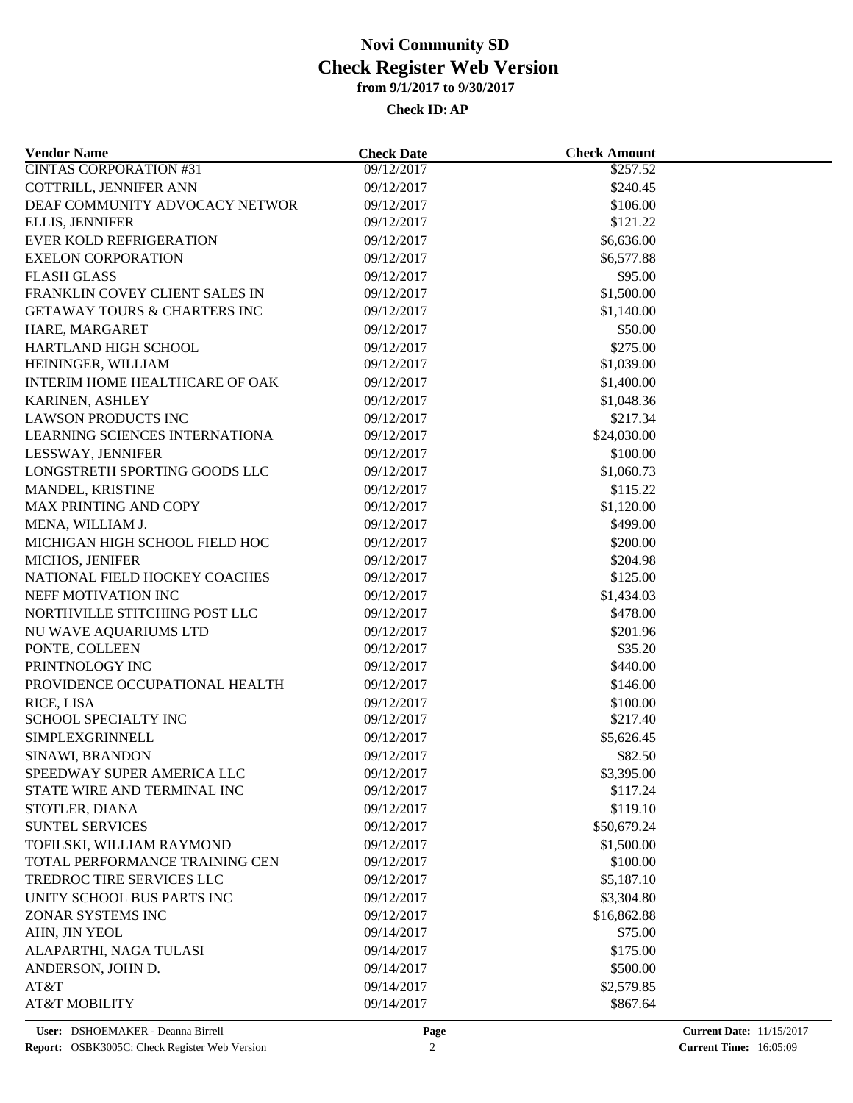| <b>Vendor Name</b>                      | <b>Check Date</b>        | <b>Check Amount</b> |  |
|-----------------------------------------|--------------------------|---------------------|--|
| <b>CINTAS CORPORATION #31</b>           | 09/12/2017               | \$257.52            |  |
| COTTRILL, JENNIFER ANN                  | 09/12/2017               | \$240.45            |  |
| DEAF COMMUNITY ADVOCACY NETWOR          | 09/12/2017               | \$106.00            |  |
| <b>ELLIS, JENNIFER</b>                  | 09/12/2017               | \$121.22            |  |
| <b>EVER KOLD REFRIGERATION</b>          | 09/12/2017               | \$6,636.00          |  |
| <b>EXELON CORPORATION</b>               | 09/12/2017               | \$6,577.88          |  |
| <b>FLASH GLASS</b>                      | 09/12/2017               | \$95.00             |  |
| FRANKLIN COVEY CLIENT SALES IN          | 09/12/2017               | \$1,500.00          |  |
| <b>GETAWAY TOURS &amp; CHARTERS INC</b> | 09/12/2017               | \$1,140.00          |  |
| HARE, MARGARET                          | 09/12/2017               | \$50.00             |  |
| HARTLAND HIGH SCHOOL                    | 09/12/2017               | \$275.00            |  |
| HEININGER, WILLIAM                      | 09/12/2017               | \$1,039.00          |  |
| INTERIM HOME HEALTHCARE OF OAK          | 09/12/2017               | \$1,400.00          |  |
| KARINEN, ASHLEY                         | 09/12/2017               | \$1,048.36          |  |
| <b>LAWSON PRODUCTS INC</b>              | 09/12/2017               | \$217.34            |  |
| LEARNING SCIENCES INTERNATIONA          | 09/12/2017               | \$24,030.00         |  |
| LESSWAY, JENNIFER                       | 09/12/2017               | \$100.00            |  |
| LONGSTRETH SPORTING GOODS LLC           | 09/12/2017               | \$1,060.73          |  |
| MANDEL, KRISTINE                        | 09/12/2017               | \$115.22            |  |
| MAX PRINTING AND COPY                   | 09/12/2017               | \$1,120.00          |  |
| MENA, WILLIAM J.                        | 09/12/2017               | \$499.00            |  |
| MICHIGAN HIGH SCHOOL FIELD HOC          | 09/12/2017               | \$200.00            |  |
| MICHOS, JENIFER                         | 09/12/2017               | \$204.98            |  |
| NATIONAL FIELD HOCKEY COACHES           | 09/12/2017               | \$125.00            |  |
| NEFF MOTIVATION INC                     | 09/12/2017               | \$1,434.03          |  |
| NORTHVILLE STITCHING POST LLC           | 09/12/2017               | \$478.00            |  |
|                                         |                          |                     |  |
| NU WAVE AQUARIUMS LTD<br>PONTE, COLLEEN | 09/12/2017<br>09/12/2017 | \$201.96<br>\$35.20 |  |
| PRINTNOLOGY INC                         |                          |                     |  |
|                                         | 09/12/2017               | \$440.00            |  |
| PROVIDENCE OCCUPATIONAL HEALTH          | 09/12/2017               | \$146.00            |  |
| RICE, LISA                              | 09/12/2017               | \$100.00            |  |
| SCHOOL SPECIALTY INC                    | 09/12/2017               | \$217.40            |  |
| SIMPLEXGRINNELL                         | 09/12/2017               | \$5,626.45          |  |
| SINAWI, BRANDON                         | 09/12/2017               | \$82.50             |  |
| SPEEDWAY SUPER AMERICA LLC              | 09/12/2017               | \$3,395.00          |  |
| STATE WIRE AND TERMINAL INC             | 09/12/2017               | \$117.24            |  |
| STOTLER, DIANA                          | 09/12/2017               | \$119.10            |  |
| <b>SUNTEL SERVICES</b>                  | 09/12/2017               | \$50,679.24         |  |
| TOFILSKI, WILLIAM RAYMOND               | 09/12/2017               | \$1,500.00          |  |
| TOTAL PERFORMANCE TRAINING CEN          | 09/12/2017               | \$100.00            |  |
| TREDROC TIRE SERVICES LLC               | 09/12/2017               | \$5,187.10          |  |
| UNITY SCHOOL BUS PARTS INC              | 09/12/2017               | \$3,304.80          |  |
| ZONAR SYSTEMS INC                       | 09/12/2017               | \$16,862.88         |  |
| AHN, JIN YEOL                           | 09/14/2017               | \$75.00             |  |
| ALAPARTHI, NAGA TULASI                  | 09/14/2017               | \$175.00            |  |
| ANDERSON, JOHN D.                       | 09/14/2017               | \$500.00            |  |
| AT&T                                    | 09/14/2017               | \$2,579.85          |  |
| <b>AT&amp;T MOBILITY</b>                | 09/14/2017               | \$867.64            |  |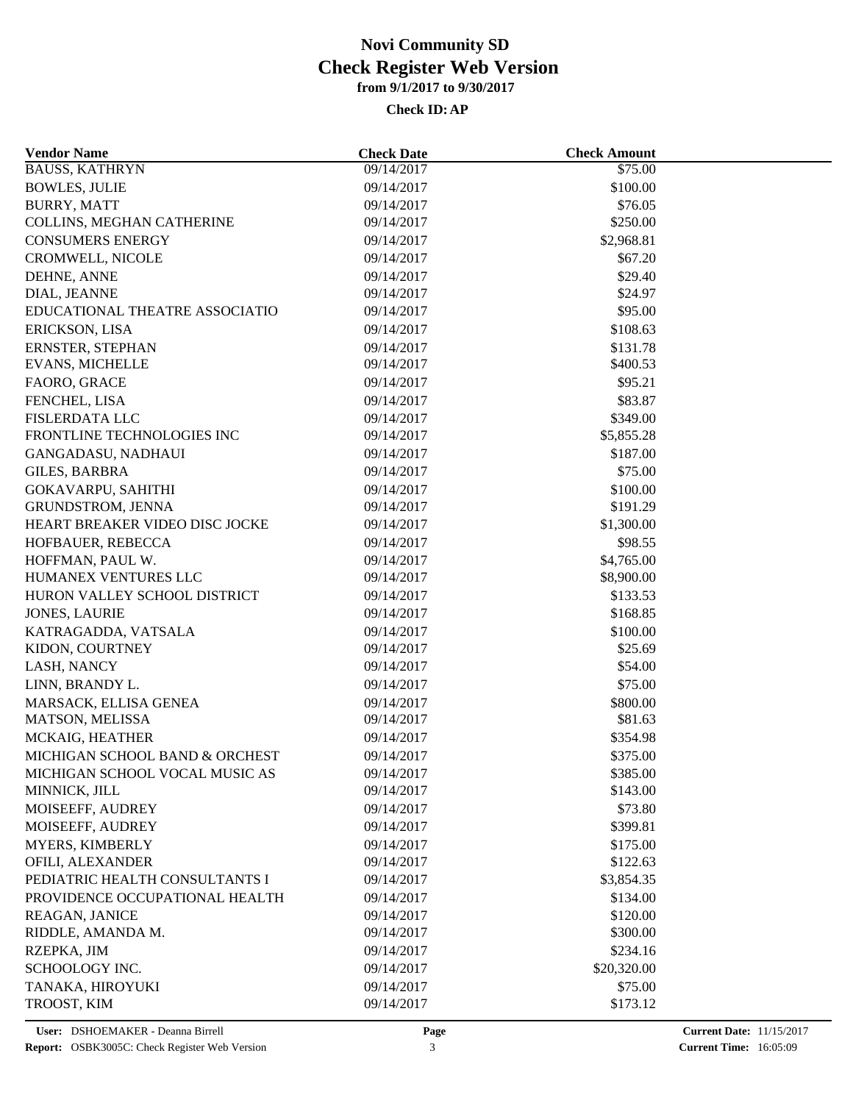| <b>Vendor Name</b>                     | <b>Check Date</b> | <b>Check Amount</b> |  |
|----------------------------------------|-------------------|---------------------|--|
| <b>BAUSS, KATHRYN</b>                  | 09/14/2017        | \$75.00             |  |
| <b>BOWLES, JULIE</b>                   | 09/14/2017        | \$100.00            |  |
| <b>BURRY, MATT</b>                     | 09/14/2017        | \$76.05             |  |
| COLLINS, MEGHAN CATHERINE              | 09/14/2017        | \$250.00            |  |
| <b>CONSUMERS ENERGY</b>                | 09/14/2017        | \$2,968.81          |  |
| CROMWELL, NICOLE                       | 09/14/2017        | \$67.20             |  |
| DEHNE, ANNE                            | 09/14/2017        | \$29.40             |  |
| DIAL, JEANNE                           | 09/14/2017        | \$24.97             |  |
| EDUCATIONAL THEATRE ASSOCIATIO         | 09/14/2017        | \$95.00             |  |
| ERICKSON, LISA                         | 09/14/2017        | \$108.63            |  |
| ERNSTER, STEPHAN                       | 09/14/2017        | \$131.78            |  |
| <b>EVANS, MICHELLE</b>                 | 09/14/2017        | \$400.53            |  |
| FAORO, GRACE                           | 09/14/2017        | \$95.21             |  |
| FENCHEL, LISA                          | 09/14/2017        | \$83.87             |  |
| <b>FISLERDATA LLC</b>                  | 09/14/2017        | \$349.00            |  |
| FRONTLINE TECHNOLOGIES INC             | 09/14/2017        | \$5,855.28          |  |
| GANGADASU, NADHAUI                     | 09/14/2017        | \$187.00            |  |
| <b>GILES, BARBRA</b>                   | 09/14/2017        | \$75.00             |  |
| <b>GOKAVARPU, SAHITHI</b>              | 09/14/2017        | \$100.00            |  |
| GRUNDSTROM, JENNA                      | 09/14/2017        | \$191.29            |  |
| HEART BREAKER VIDEO DISC JOCKE         | 09/14/2017        | \$1,300.00          |  |
| HOFBAUER, REBECCA                      | 09/14/2017        | \$98.55             |  |
| HOFFMAN, PAUL W.                       | 09/14/2017        | \$4,765.00          |  |
| HUMANEX VENTURES LLC                   | 09/14/2017        | \$8,900.00          |  |
| HURON VALLEY SCHOOL DISTRICT           | 09/14/2017        | \$133.53            |  |
| <b>JONES, LAURIE</b>                   | 09/14/2017        | \$168.85            |  |
|                                        | 09/14/2017        | \$100.00            |  |
| KATRAGADDA, VATSALA<br>KIDON, COURTNEY | 09/14/2017        | \$25.69             |  |
|                                        |                   |                     |  |
| LASH, NANCY                            | 09/14/2017        | \$54.00             |  |
| LINN, BRANDY L.                        | 09/14/2017        | \$75.00             |  |
| MARSACK, ELLISA GENEA                  | 09/14/2017        | \$800.00            |  |
| MATSON, MELISSA                        | 09/14/2017        | \$81.63             |  |
| MCKAIG, HEATHER                        | 09/14/2017        | \$354.98            |  |
| MICHIGAN SCHOOL BAND & ORCHEST         | 09/14/2017        | \$375.00            |  |
| MICHIGAN SCHOOL VOCAL MUSIC AS         | 09/14/2017        | \$385.00            |  |
| MINNICK, JILL                          | 09/14/2017        | \$143.00            |  |
| MOISEEFF, AUDREY                       | 09/14/2017        | \$73.80             |  |
| MOISEEFF, AUDREY                       | 09/14/2017        | \$399.81            |  |
| MYERS, KIMBERLY                        | 09/14/2017        | \$175.00            |  |
| OFILI, ALEXANDER                       | 09/14/2017        | \$122.63            |  |
| PEDIATRIC HEALTH CONSULTANTS I         | 09/14/2017        | \$3,854.35          |  |
| PROVIDENCE OCCUPATIONAL HEALTH         | 09/14/2017        | \$134.00            |  |
| <b>REAGAN, JANICE</b>                  | 09/14/2017        | \$120.00            |  |
| RIDDLE, AMANDA M.                      | 09/14/2017        | \$300.00            |  |
| RZEPKA, JIM                            | 09/14/2017        | \$234.16            |  |
| SCHOOLOGY INC.                         | 09/14/2017        | \$20,320.00         |  |
| TANAKA, HIROYUKI                       | 09/14/2017        | \$75.00             |  |
| TROOST, KIM                            | 09/14/2017        | \$173.12            |  |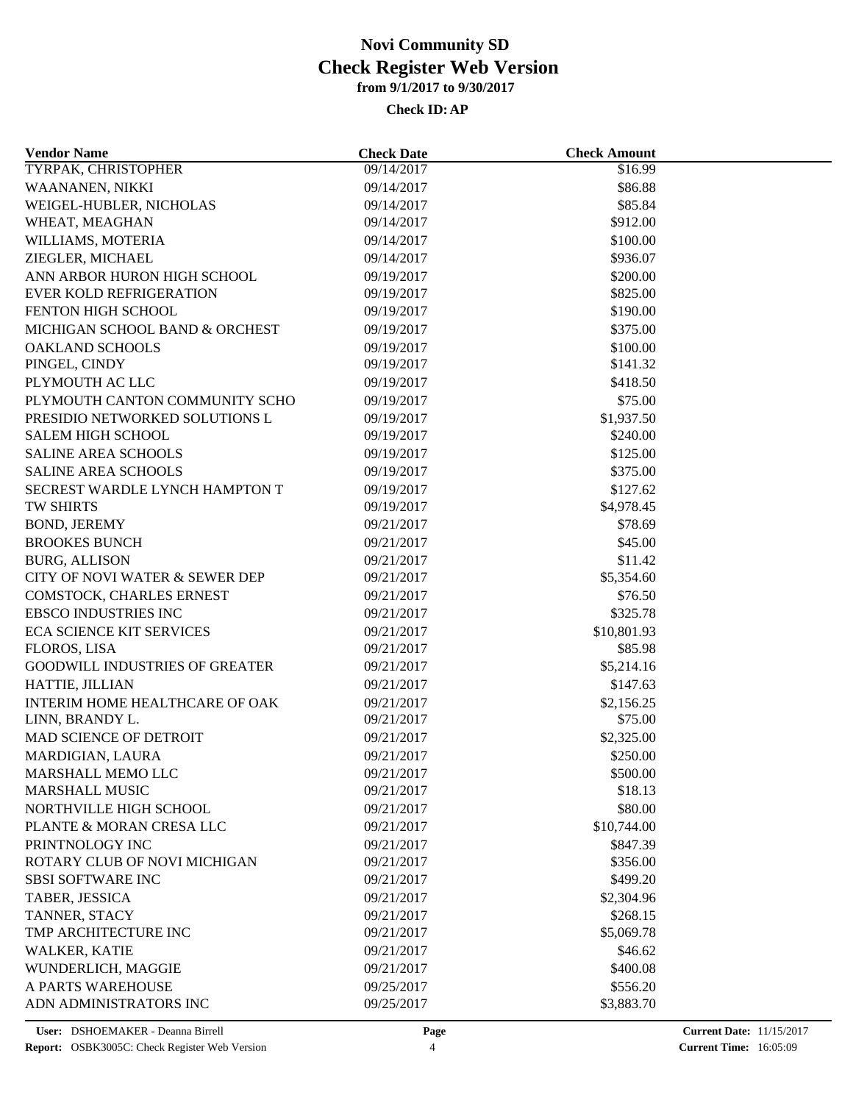| <b>Vendor Name</b>                              | <b>Check Date</b> | <b>Check Amount</b> |  |
|-------------------------------------------------|-------------------|---------------------|--|
| TYRPAK, CHRISTOPHER                             | 09/14/2017        | \$16.99             |  |
| WAANANEN, NIKKI                                 | 09/14/2017        | \$86.88             |  |
| WEIGEL-HUBLER, NICHOLAS                         | 09/14/2017        | \$85.84             |  |
| WHEAT, MEAGHAN                                  | 09/14/2017        | \$912.00            |  |
| WILLIAMS, MOTERIA                               | 09/14/2017        | \$100.00            |  |
| ZIEGLER, MICHAEL                                | 09/14/2017        | \$936.07            |  |
| ANN ARBOR HURON HIGH SCHOOL                     | 09/19/2017        | \$200.00            |  |
| <b>EVER KOLD REFRIGERATION</b>                  | 09/19/2017        | \$825.00            |  |
| FENTON HIGH SCHOOL                              | 09/19/2017        | \$190.00            |  |
| MICHIGAN SCHOOL BAND & ORCHEST                  | 09/19/2017        | \$375.00            |  |
| <b>OAKLAND SCHOOLS</b>                          | 09/19/2017        | \$100.00            |  |
| PINGEL, CINDY                                   | 09/19/2017        | \$141.32            |  |
| PLYMOUTH AC LLC                                 | 09/19/2017        | \$418.50            |  |
| PLYMOUTH CANTON COMMUNITY SCHO                  | 09/19/2017        | \$75.00             |  |
| PRESIDIO NETWORKED SOLUTIONS L                  | 09/19/2017        | \$1,937.50          |  |
| <b>SALEM HIGH SCHOOL</b>                        | 09/19/2017        | \$240.00            |  |
| <b>SALINE AREA SCHOOLS</b>                      | 09/19/2017        | \$125.00            |  |
| <b>SALINE AREA SCHOOLS</b>                      | 09/19/2017        | \$375.00            |  |
| SECREST WARDLE LYNCH HAMPTON T                  | 09/19/2017        | \$127.62            |  |
| <b>TW SHIRTS</b>                                | 09/19/2017        | \$4,978.45          |  |
| <b>BOND, JEREMY</b>                             | 09/21/2017        | \$78.69             |  |
| <b>BROOKES BUNCH</b>                            | 09/21/2017        | \$45.00             |  |
| <b>BURG, ALLISON</b>                            | 09/21/2017        | \$11.42             |  |
| CITY OF NOVI WATER & SEWER DEP                  | 09/21/2017        | \$5,354.60          |  |
| COMSTOCK, CHARLES ERNEST                        | 09/21/2017        | \$76.50             |  |
| <b>EBSCO INDUSTRIES INC</b>                     | 09/21/2017        | \$325.78            |  |
| <b>ECA SCIENCE KIT SERVICES</b>                 | 09/21/2017        | \$10,801.93         |  |
| FLOROS, LISA                                    | 09/21/2017        | \$85.98             |  |
| <b>GOODWILL INDUSTRIES OF GREATER</b>           | 09/21/2017        | \$5,214.16          |  |
| HATTIE, JILLIAN                                 | 09/21/2017        | \$147.63            |  |
| INTERIM HOME HEALTHCARE OF OAK                  | 09/21/2017        | \$2,156.25          |  |
| LINN, BRANDY L.                                 | 09/21/2017        | \$75.00             |  |
| MAD SCIENCE OF DETROIT                          | 09/21/2017        | \$2,325.00          |  |
| MARDIGIAN, LAURA                                | 09/21/2017        | \$250.00            |  |
| MARSHALL MEMO LLC                               | 09/21/2017        | \$500.00            |  |
| <b>MARSHALL MUSIC</b>                           | 09/21/2017        | \$18.13             |  |
| NORTHVILLE HIGH SCHOOL                          | 09/21/2017        | \$80.00             |  |
| PLANTE & MORAN CRESA LLC                        | 09/21/2017        |                     |  |
|                                                 |                   | \$10,744.00         |  |
| PRINTNOLOGY INC<br>ROTARY CLUB OF NOVI MICHIGAN | 09/21/2017        | \$847.39            |  |
| <b>SBSI SOFTWARE INC</b>                        | 09/21/2017        | \$356.00            |  |
|                                                 | 09/21/2017        | \$499.20            |  |
| TABER, JESSICA                                  | 09/21/2017        | \$2,304.96          |  |
| TANNER, STACY                                   | 09/21/2017        | \$268.15            |  |
| TMP ARCHITECTURE INC                            | 09/21/2017        | \$5,069.78          |  |
| WALKER, KATIE                                   | 09/21/2017        | \$46.62             |  |
| WUNDERLICH, MAGGIE                              | 09/21/2017        | \$400.08            |  |
| A PARTS WAREHOUSE                               | 09/25/2017        | \$556.20            |  |
| ADN ADMINISTRATORS INC                          | 09/25/2017        | \$3,883.70          |  |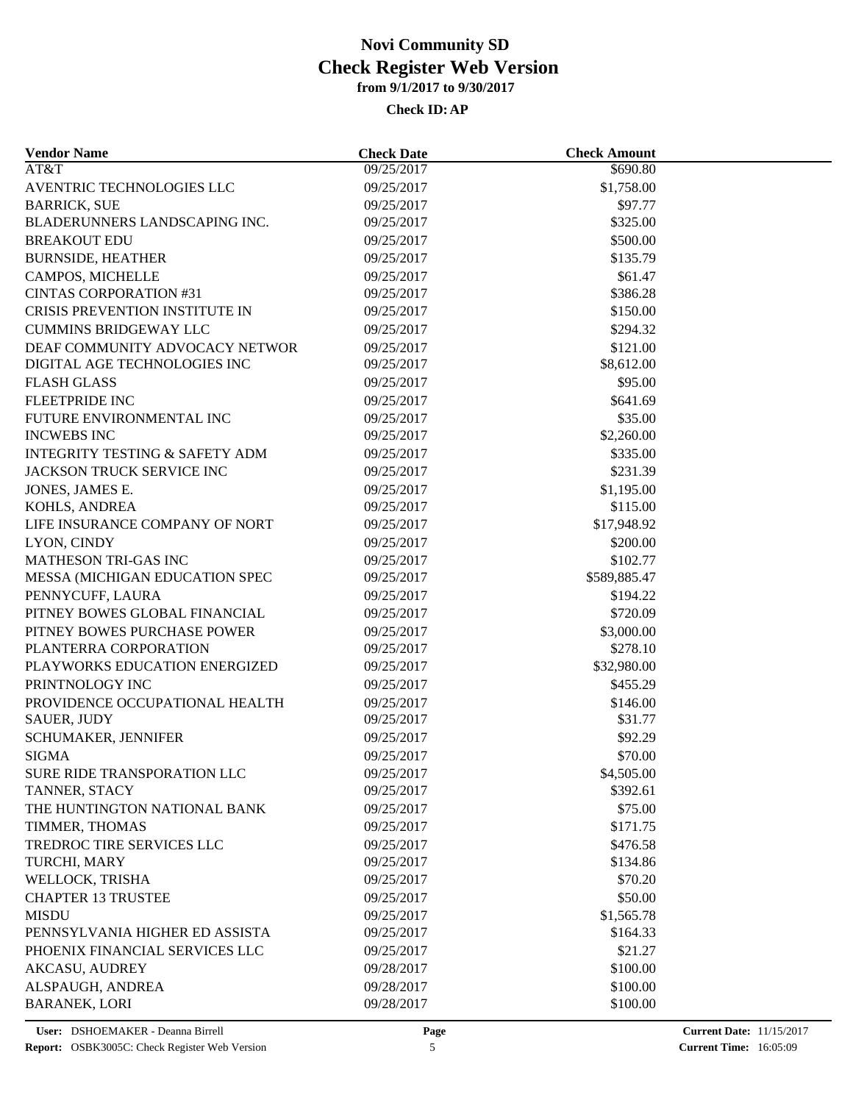| <b>Vendor Name</b>                        | <b>Check Date</b> | <b>Check Amount</b>    |  |
|-------------------------------------------|-------------------|------------------------|--|
| AT&T                                      | 09/25/2017        | \$690.80               |  |
| AVENTRIC TECHNOLOGIES LLC                 | 09/25/2017        | \$1,758.00             |  |
| <b>BARRICK, SUE</b>                       | 09/25/2017        | \$97.77                |  |
| BLADERUNNERS LANDSCAPING INC.             | 09/25/2017        | \$325.00               |  |
| <b>BREAKOUT EDU</b>                       | 09/25/2017        | \$500.00               |  |
| <b>BURNSIDE, HEATHER</b>                  | 09/25/2017        | \$135.79               |  |
| CAMPOS, MICHELLE                          | 09/25/2017        | \$61.47                |  |
| <b>CINTAS CORPORATION #31</b>             | 09/25/2017        | \$386.28               |  |
| CRISIS PREVENTION INSTITUTE IN            | 09/25/2017        | \$150.00               |  |
| <b>CUMMINS BRIDGEWAY LLC</b>              | 09/25/2017        | \$294.32               |  |
| DEAF COMMUNITY ADVOCACY NETWOR            | 09/25/2017        | \$121.00               |  |
| DIGITAL AGE TECHNOLOGIES INC              | 09/25/2017        | \$8,612.00             |  |
| <b>FLASH GLASS</b>                        | 09/25/2017        | \$95.00                |  |
| <b>FLEETPRIDE INC</b>                     | 09/25/2017        | \$641.69               |  |
| FUTURE ENVIRONMENTAL INC                  | 09/25/2017        | \$35.00                |  |
| <b>INCWEBS INC</b>                        | 09/25/2017        | \$2,260.00             |  |
| <b>INTEGRITY TESTING &amp; SAFETY ADM</b> | 09/25/2017        | \$335.00               |  |
| JACKSON TRUCK SERVICE INC                 | 09/25/2017        | \$231.39               |  |
| JONES, JAMES E.                           | 09/25/2017        | \$1,195.00             |  |
| KOHLS, ANDREA                             | 09/25/2017        | \$115.00               |  |
| LIFE INSURANCE COMPANY OF NORT            | 09/25/2017        | \$17,948.92            |  |
| LYON, CINDY                               | 09/25/2017        | \$200.00               |  |
| <b>MATHESON TRI-GAS INC</b>               | 09/25/2017        | \$102.77               |  |
| MESSA (MICHIGAN EDUCATION SPEC            | 09/25/2017        | \$589,885.47           |  |
| PENNYCUFF, LAURA                          | 09/25/2017        | \$194.22               |  |
| PITNEY BOWES GLOBAL FINANCIAL             | 09/25/2017        | \$720.09               |  |
| PITNEY BOWES PURCHASE POWER               | 09/25/2017        | \$3,000.00             |  |
| PLANTERRA CORPORATION                     | 09/25/2017        | \$278.10               |  |
| PLAYWORKS EDUCATION ENERGIZED             | 09/25/2017        | \$32,980.00            |  |
| PRINTNOLOGY INC                           | 09/25/2017        | \$455.29               |  |
| PROVIDENCE OCCUPATIONAL HEALTH            | 09/25/2017        | \$146.00               |  |
| <b>SAUER, JUDY</b>                        | 09/25/2017        | \$31.77                |  |
| SCHUMAKER, JENNIFER                       | 09/25/2017        | \$92.29                |  |
| <b>SIGMA</b>                              | 09/25/2017        | \$70.00                |  |
|                                           |                   |                        |  |
| SURE RIDE TRANSPORATION LLC               | 09/25/2017        | \$4,505.00<br>\$392.61 |  |
| TANNER, STACY                             | 09/25/2017        |                        |  |
| THE HUNTINGTON NATIONAL BANK              | 09/25/2017        | \$75.00                |  |
| TIMMER, THOMAS                            | 09/25/2017        | \$171.75               |  |
| <b>TREDROC TIRE SERVICES LLC</b>          | 09/25/2017        | \$476.58               |  |
| TURCHI, MARY                              | 09/25/2017        | \$134.86               |  |
| WELLOCK, TRISHA                           | 09/25/2017        | \$70.20                |  |
| <b>CHAPTER 13 TRUSTEE</b>                 | 09/25/2017        | \$50.00                |  |
| <b>MISDU</b>                              | 09/25/2017        | \$1,565.78             |  |
| PENNSYLVANIA HIGHER ED ASSISTA            | 09/25/2017        | \$164.33               |  |
| PHOENIX FINANCIAL SERVICES LLC            | 09/25/2017        | \$21.27                |  |
| <b>AKCASU, AUDREY</b>                     | 09/28/2017        | \$100.00               |  |
| ALSPAUGH, ANDREA                          | 09/28/2017        | \$100.00               |  |
| <b>BARANEK, LORI</b>                      | 09/28/2017        | \$100.00               |  |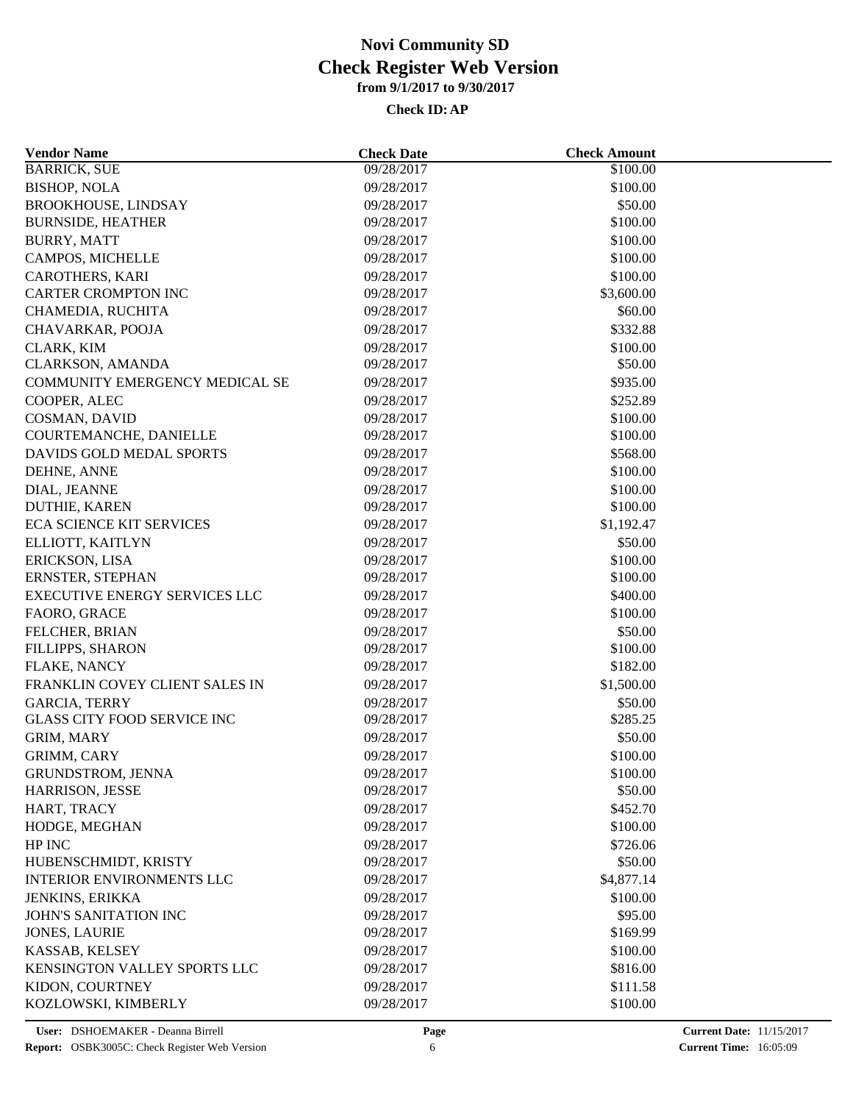| <b>Vendor Name</b>                   | <b>Check Date</b> | <b>Check Amount</b> |  |
|--------------------------------------|-------------------|---------------------|--|
| <b>BARRICK, SUE</b>                  | 09/28/2017        | \$100.00            |  |
| <b>BISHOP, NOLA</b>                  | 09/28/2017        | \$100.00            |  |
| BROOKHOUSE, LINDSAY                  | 09/28/2017        | \$50.00             |  |
| <b>BURNSIDE, HEATHER</b>             | 09/28/2017        | \$100.00            |  |
| <b>BURRY, MATT</b>                   | 09/28/2017        | \$100.00            |  |
| CAMPOS, MICHELLE                     | 09/28/2017        | \$100.00            |  |
| CAROTHERS, KARI                      | 09/28/2017        | \$100.00            |  |
| <b>CARTER CROMPTON INC</b>           | 09/28/2017        | \$3,600.00          |  |
| CHAMEDIA, RUCHITA                    | 09/28/2017        | \$60.00             |  |
| CHAVARKAR, POOJA                     | 09/28/2017        | \$332.88            |  |
| CLARK, KIM                           | 09/28/2017        | \$100.00            |  |
| CLARKSON, AMANDA                     | 09/28/2017        | \$50.00             |  |
| COMMUNITY EMERGENCY MEDICAL SE       | 09/28/2017        | \$935.00            |  |
| COOPER, ALEC                         | 09/28/2017        | \$252.89            |  |
| COSMAN, DAVID                        | 09/28/2017        | \$100.00            |  |
| COURTEMANCHE, DANIELLE               | 09/28/2017        | \$100.00            |  |
| DAVIDS GOLD MEDAL SPORTS             | 09/28/2017        | \$568.00            |  |
| DEHNE, ANNE                          | 09/28/2017        | \$100.00            |  |
| DIAL, JEANNE                         | 09/28/2017        | \$100.00            |  |
| DUTHIE, KAREN                        | 09/28/2017        | \$100.00            |  |
| <b>ECA SCIENCE KIT SERVICES</b>      | 09/28/2017        | \$1,192.47          |  |
| ELLIOTT, KAITLYN                     | 09/28/2017        | \$50.00             |  |
| ERICKSON, LISA                       | 09/28/2017        | \$100.00            |  |
| ERNSTER, STEPHAN                     | 09/28/2017        | \$100.00            |  |
| <b>EXECUTIVE ENERGY SERVICES LLC</b> | 09/28/2017        | \$400.00            |  |
| FAORO, GRACE                         | 09/28/2017        | \$100.00            |  |
| FELCHER, BRIAN                       | 09/28/2017        | \$50.00             |  |
| FILLIPPS, SHARON                     | 09/28/2017        | \$100.00            |  |
| FLAKE, NANCY                         | 09/28/2017        | \$182.00            |  |
| FRANKLIN COVEY CLIENT SALES IN       | 09/28/2017        | \$1,500.00          |  |
| <b>GARCIA, TERRY</b>                 | 09/28/2017        | \$50.00             |  |
| <b>GLASS CITY FOOD SERVICE INC</b>   | 09/28/2017        | \$285.25            |  |
| GRIM, MARY                           | 09/28/2017        | \$50.00             |  |
| GRIMM, CARY                          | 09/28/2017        | \$100.00            |  |
| GRUNDSTROM, JENNA                    | 09/28/2017        | \$100.00            |  |
| HARRISON, JESSE                      | 09/28/2017        | \$50.00             |  |
| HART, TRACY                          | 09/28/2017        | \$452.70            |  |
|                                      |                   |                     |  |
| HODGE, MEGHAN                        | 09/28/2017        | \$100.00            |  |
| HP INC                               | 09/28/2017        | \$726.06            |  |
| HUBENSCHMIDT, KRISTY                 | 09/28/2017        | \$50.00             |  |
| <b>INTERIOR ENVIRONMENTS LLC</b>     | 09/28/2017        | \$4,877.14          |  |
| JENKINS, ERIKKA                      | 09/28/2017        | \$100.00            |  |
| JOHN'S SANITATION INC                | 09/28/2017        | \$95.00             |  |
| <b>JONES, LAURIE</b>                 | 09/28/2017        | \$169.99            |  |
| KASSAB, KELSEY                       | 09/28/2017        | \$100.00            |  |
| KENSINGTON VALLEY SPORTS LLC         | 09/28/2017        | \$816.00            |  |
| KIDON, COURTNEY                      | 09/28/2017        | \$111.58            |  |
| KOZLOWSKI, KIMBERLY                  | 09/28/2017        | \$100.00            |  |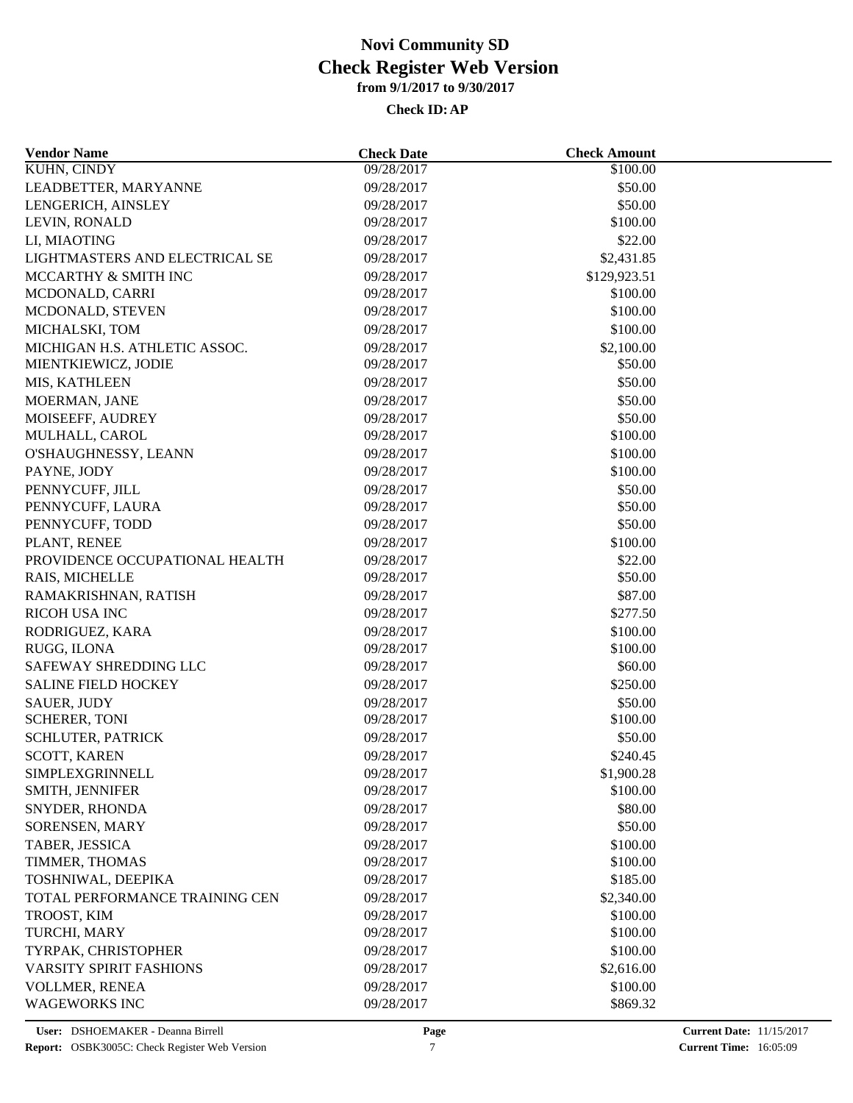| <b>Vendor Name</b>             | <b>Check Date</b> | <b>Check Amount</b> |  |
|--------------------------------|-------------------|---------------------|--|
| <b>KUHN, CINDY</b>             | 09/28/2017        | \$100.00            |  |
| LEADBETTER, MARYANNE           | 09/28/2017        | \$50.00             |  |
| LENGERICH, AINSLEY             | 09/28/2017        | \$50.00             |  |
| LEVIN, RONALD                  | 09/28/2017        | \$100.00            |  |
| LI, MIAOTING                   | 09/28/2017        | \$22.00             |  |
| LIGHTMASTERS AND ELECTRICAL SE | 09/28/2017        | \$2,431.85          |  |
| MCCARTHY & SMITH INC           | 09/28/2017        | \$129,923.51        |  |
| MCDONALD, CARRI                | 09/28/2017        | \$100.00            |  |
| MCDONALD, STEVEN               | 09/28/2017        | \$100.00            |  |
| MICHALSKI, TOM                 | 09/28/2017        | \$100.00            |  |
| MICHIGAN H.S. ATHLETIC ASSOC.  | 09/28/2017        | \$2,100.00          |  |
| MIENTKIEWICZ, JODIE            | 09/28/2017        | \$50.00             |  |
| MIS, KATHLEEN                  | 09/28/2017        | \$50.00             |  |
| MOERMAN, JANE                  | 09/28/2017        | \$50.00             |  |
| MOISEEFF, AUDREY               | 09/28/2017        | \$50.00             |  |
| MULHALL, CAROL                 | 09/28/2017        | \$100.00            |  |
| O'SHAUGHNESSY, LEANN           | 09/28/2017        | \$100.00            |  |
| PAYNE, JODY                    | 09/28/2017        | \$100.00            |  |
| PENNYCUFF, JILL                | 09/28/2017        | \$50.00             |  |
| PENNYCUFF, LAURA               | 09/28/2017        | \$50.00             |  |
| PENNYCUFF, TODD                | 09/28/2017        | \$50.00             |  |
| PLANT, RENEE                   | 09/28/2017        | \$100.00            |  |
| PROVIDENCE OCCUPATIONAL HEALTH | 09/28/2017        | \$22.00             |  |
| RAIS, MICHELLE                 | 09/28/2017        | \$50.00             |  |
| RAMAKRISHNAN, RATISH           | 09/28/2017        | \$87.00             |  |
| RICOH USA INC                  | 09/28/2017        | \$277.50            |  |
| RODRIGUEZ, KARA                | 09/28/2017        | \$100.00            |  |
| RUGG, ILONA                    | 09/28/2017        | \$100.00            |  |
| SAFEWAY SHREDDING LLC          | 09/28/2017        | \$60.00             |  |
| <b>SALINE FIELD HOCKEY</b>     | 09/28/2017        | \$250.00            |  |
| <b>SAUER, JUDY</b>             | 09/28/2017        | \$50.00             |  |
| <b>SCHERER, TONI</b>           | 09/28/2017        | \$100.00            |  |
| SCHLUTER, PATRICK              | 09/28/2017        | \$50.00             |  |
| SCOTT, KAREN                   | 09/28/2017        | \$240.45            |  |
| SIMPLEXGRINNELL                | 09/28/2017        | \$1,900.28          |  |
| SMITH, JENNIFER                | 09/28/2017        | \$100.00            |  |
| SNYDER, RHONDA                 | 09/28/2017        | \$80.00             |  |
| <b>SORENSEN, MARY</b>          | 09/28/2017        | \$50.00             |  |
| TABER, JESSICA                 | 09/28/2017        | \$100.00            |  |
| TIMMER, THOMAS                 | 09/28/2017        | \$100.00            |  |
| TOSHNIWAL, DEEPIKA             | 09/28/2017        | \$185.00            |  |
| TOTAL PERFORMANCE TRAINING CEN | 09/28/2017        | \$2,340.00          |  |
| TROOST, KIM                    | 09/28/2017        | \$100.00            |  |
| TURCHI, MARY                   | 09/28/2017        | \$100.00            |  |
| TYRPAK, CHRISTOPHER            | 09/28/2017        | \$100.00            |  |
| <b>VARSITY SPIRIT FASHIONS</b> | 09/28/2017        | \$2,616.00          |  |
| VOLLMER, RENEA                 | 09/28/2017        | \$100.00            |  |
| <b>WAGEWORKS INC</b>           | 09/28/2017        | \$869.32            |  |
|                                |                   |                     |  |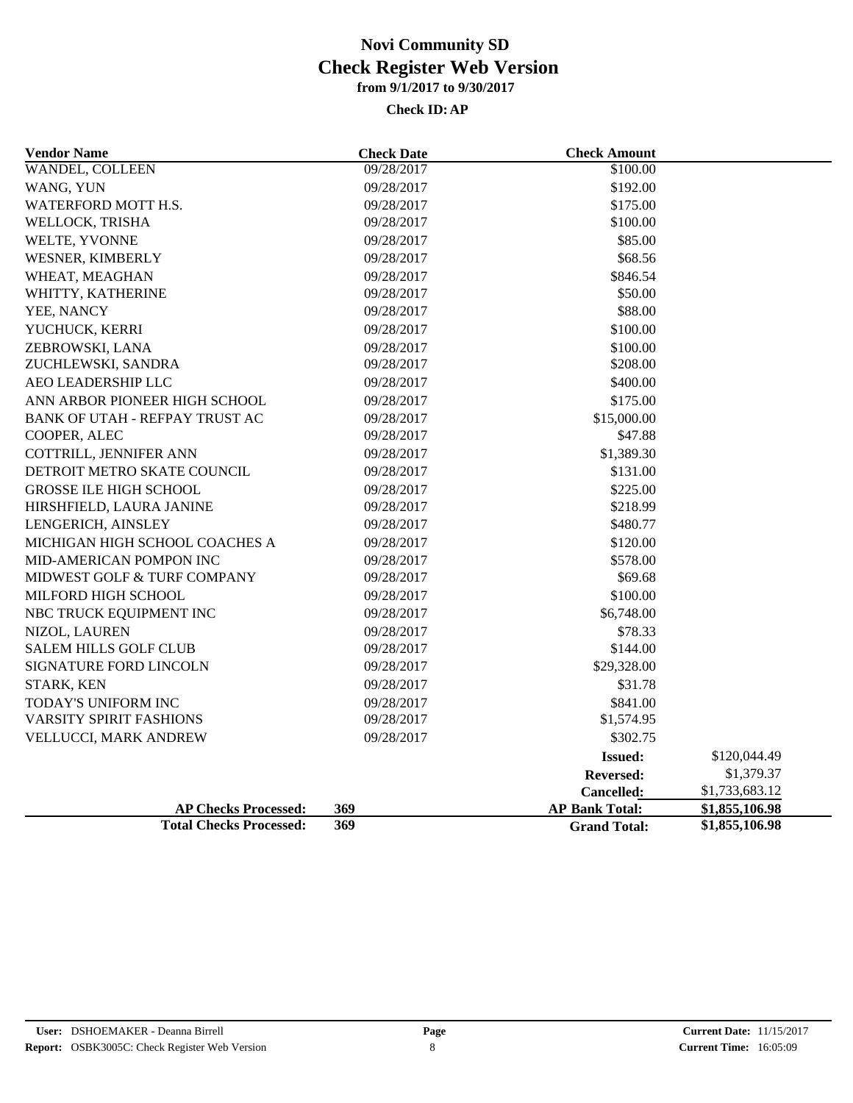| <b>Vendor Name</b>             | <b>Check Date</b> | <b>Check Amount</b>   |                |
|--------------------------------|-------------------|-----------------------|----------------|
| WANDEL, COLLEEN                | 09/28/2017        | \$100.00              |                |
| WANG, YUN                      | 09/28/2017        | \$192.00              |                |
| WATERFORD MOTT H.S.            | 09/28/2017        | \$175.00              |                |
| WELLOCK, TRISHA                | 09/28/2017        | \$100.00              |                |
| WELTE, YVONNE                  | 09/28/2017        | \$85.00               |                |
| WESNER, KIMBERLY               | 09/28/2017        | \$68.56               |                |
| WHEAT, MEAGHAN                 | 09/28/2017        | \$846.54              |                |
| WHITTY, KATHERINE              | 09/28/2017        | \$50.00               |                |
| YEE, NANCY                     | 09/28/2017        | \$88.00               |                |
| YUCHUCK, KERRI                 | 09/28/2017        | \$100.00              |                |
| ZEBROWSKI, LANA                | 09/28/2017        | \$100.00              |                |
| ZUCHLEWSKI, SANDRA             | 09/28/2017        | \$208.00              |                |
| AEO LEADERSHIP LLC             | 09/28/2017        | \$400.00              |                |
| ANN ARBOR PIONEER HIGH SCHOOL  | 09/28/2017        | \$175.00              |                |
| BANK OF UTAH - REFPAY TRUST AC | 09/28/2017        | \$15,000.00           |                |
| COOPER, ALEC                   | 09/28/2017        | \$47.88               |                |
| COTTRILL, JENNIFER ANN         | 09/28/2017        | \$1,389.30            |                |
| DETROIT METRO SKATE COUNCIL    | 09/28/2017        | \$131.00              |                |
| <b>GROSSE ILE HIGH SCHOOL</b>  | 09/28/2017        | \$225.00              |                |
| HIRSHFIELD, LAURA JANINE       | 09/28/2017        | \$218.99              |                |
| LENGERICH, AINSLEY             | 09/28/2017        | \$480.77              |                |
| MICHIGAN HIGH SCHOOL COACHES A | 09/28/2017        | \$120.00              |                |
| MID-AMERICAN POMPON INC        | 09/28/2017        | \$578.00              |                |
| MIDWEST GOLF & TURF COMPANY    | 09/28/2017        | \$69.68               |                |
| MILFORD HIGH SCHOOL            | 09/28/2017        | \$100.00              |                |
| NBC TRUCK EQUIPMENT INC        | 09/28/2017        | \$6,748.00            |                |
| NIZOL, LAUREN                  | 09/28/2017        | \$78.33               |                |
| <b>SALEM HILLS GOLF CLUB</b>   | 09/28/2017        | \$144.00              |                |
| SIGNATURE FORD LINCOLN         | 09/28/2017        | \$29,328.00           |                |
| STARK, KEN                     | 09/28/2017        | \$31.78               |                |
| TODAY'S UNIFORM INC            | 09/28/2017        | \$841.00              |                |
| <b>VARSITY SPIRIT FASHIONS</b> | 09/28/2017        | \$1,574.95            |                |
| VELLUCCI, MARK ANDREW          | 09/28/2017        | \$302.75              |                |
|                                |                   | <b>Issued:</b>        | \$120,044.49   |
|                                |                   | <b>Reversed:</b>      | \$1,379.37     |
|                                |                   | Cancelled:            | \$1,733,683.12 |
| <b>AP Checks Processed:</b>    | 369               | <b>AP Bank Total:</b> | \$1,855,106.98 |
| <b>Total Checks Processed:</b> | 369               | <b>Grand Total:</b>   | \$1,855,106.98 |